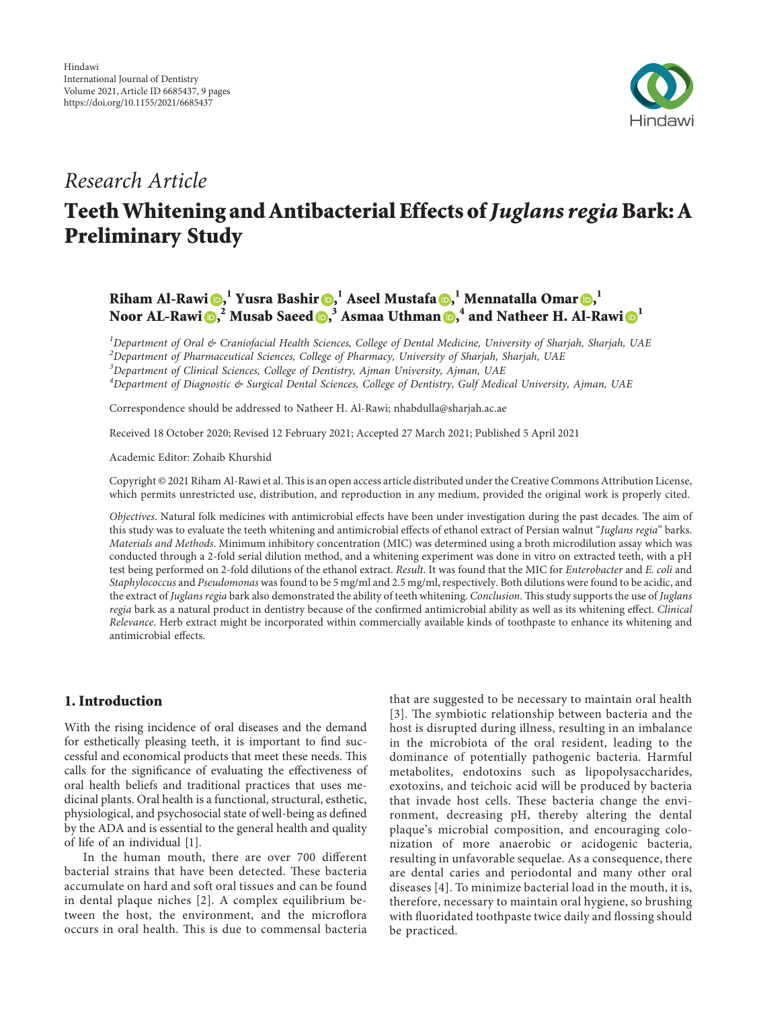

# Research Article

# Teeth Whitening and Antibacterial Effects of Juglans regia Bark: A Preliminary Study

# Riham Al-Rawi <mark>()[,](https://orcid.org/0000-0002-6234-9692)</mark> <sup>l</sup> Yusra Bashir (), <sup>l</sup> Aseel Mustafa (), <sup>l</sup> Mennatalla Omar (), <sup>l</sup> Noor AL-Rawi <mark>()[,](https://orcid.org/0000-0002-9362-4204)</mark>  $^2$  Musab Saeed (),  $^3$  Asmaa Uthman (),  $^4$  and Natheer H. Al-Rawi ()  $^1$

 ${}^{1}$ Department of Oral & Craniofacial Health Sciences, College of Dental Medicine, University of Sharjah, Sharjah, UAE  $^{2}$ Department of Pharmaceutical Sciences, College of Pharmacy, University of Sharjah, Sharjah, UAE

<sup>3</sup>Department of Clinical Sciences, College of Dentistry, Ajman University, Ajman, UAE

<sup>4</sup>Department of Diagnostic & Surgical Dental Sciences, College of Dentistry, Gulf Medical University, Ajman, UAE

Correspondence should be addressed to Natheer H. Al-Rawi; [nhabdulla@sharjah.ac.ae](mailto:nhabdulla@sharjah.ac.ae)

Received 18 October 2020; Revised 12 February 2021; Accepted 27 March 2021; Published 5 April 2021

Academic Editor: Zohaib Khurshid

Copyright @ 2021 Riham Al-Rawi et al. This is an open access article distributed under the [Creative Commons Attribution License](https://creativecommons.org/licenses/by/4.0/), which permits unrestricted use, distribution, and reproduction in any medium, provided the original work is properly cited.

Objectives. Natural folk medicines with antimicrobial effects have been under investigation during the past decades. The aim of this study was to evaluate the teeth whitening and antimicrobial effects of ethanol extract of Persian walnut "Juglans regia" barks. Materials and Methods. Minimum inhibitory concentration (MIC) was determined using a broth microdilution assay which was conducted through a 2-fold serial dilution method, and a whitening experiment was done in vitro on extracted teeth, with a pH test being performed on 2-fold dilutions of the ethanol extract. Result. It was found that the MIC for Enterobacter and E. coli and Staphylococcus and Pseudomonas was found to be 5 mg/ml and 2.5 mg/ml, respectively. Both dilutions were found to be acidic, and the extract of Juglans regia bark also demonstrated the ability of teeth whitening. Conclusion. This study supports the use of Juglans regia bark as a natural product in dentistry because of the confirmed antimicrobial ability as well as its whitening effect. Clinical Relevance. Herb extract might be incorporated within commercially available kinds of toothpaste to enhance its whitening and antimicrobial effects.

## 1. Introduction

With the rising incidence of oral diseases and the demand for esthetically pleasing teeth, it is important to find successful and economical products that meet these needs. This calls for the significance of evaluating the effectiveness of oral health beliefs and traditional practices that uses medicinal plants. Oral health is a functional, structural, esthetic, physiological, and psychosocial state of well-being as defined by the ADA and is essential to the general health and quality of life of an individual [\[1](#page-8-0)].

In the human mouth, there are over 700 different bacterial strains that have been detected. These bacteria accumulate on hard and soft oral tissues and can be found in dental plaque niches[[2](#page-8-0)]. A complex equilibrium between the host, the environment, and the microflora occurs in oral health. This is due to commensal bacteria

that are suggested to be necessary to maintain oral health [[3\]](#page-8-0). The symbiotic relationship between bacteria and the host is disrupted during illness, resulting in an imbalance in the microbiota of the oral resident, leading to the dominance of potentially pathogenic bacteria. Harmful metabolites, endotoxins such as lipopolysaccharides, exotoxins, and teichoic acid will be produced by bacteria that invade host cells. These bacteria change the environment, decreasing pH, thereby altering the dental plaque's microbial composition, and encouraging colonization of more anaerobic or acidogenic bacteria, resulting in unfavorable sequelae. As a consequence, there are dental caries and periodontal and many other oral diseases[[4\]](#page-8-0). To minimize bacterial load in the mouth, it is, therefore, necessary to maintain oral hygiene, so brushing with fluoridated toothpaste twice daily and flossing should be practiced.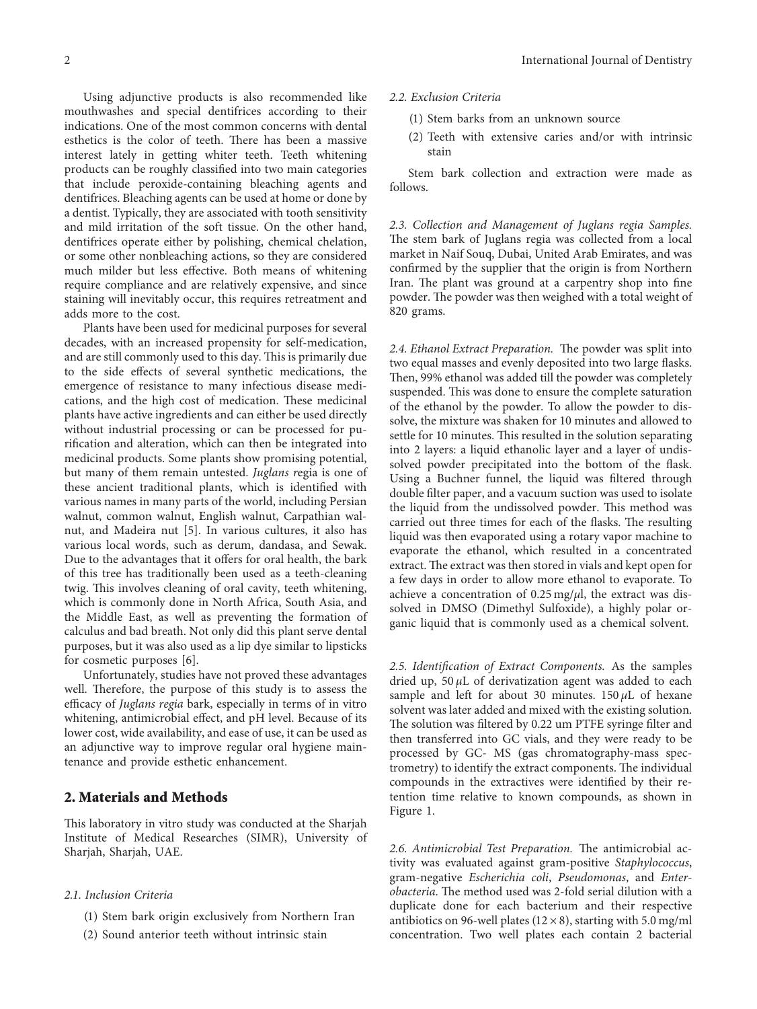Using adjunctive products is also recommended like mouthwashes and special dentifrices according to their indications. One of the most common concerns with dental esthetics is the color of teeth. There has been a massive interest lately in getting whiter teeth. Teeth whitening products can be roughly classified into two main categories that include peroxide-containing bleaching agents and dentifrices. Bleaching agents can be used at home or done by a dentist. Typically, they are associated with tooth sensitivity and mild irritation of the soft tissue. On the other hand, dentifrices operate either by polishing, chemical chelation, or some other nonbleaching actions, so they are considered much milder but less effective. Both means of whitening require compliance and are relatively expensive, and since staining will inevitably occur, this requires retreatment and adds more to the cost.

Plants have been used for medicinal purposes for several decades, with an increased propensity for self-medication, and are still commonly used to this day. This is primarily due to the side effects of several synthetic medications, the emergence of resistance to many infectious disease medications, and the high cost of medication. These medicinal plants have active ingredients and can either be used directly without industrial processing or can be processed for purification and alteration, which can then be integrated into medicinal products. Some plants show promising potential, but many of them remain untested. Juglans regia is one of these ancient traditional plants, which is identified with various names in many parts of the world, including Persian walnut, common walnut, English walnut, Carpathian walnut, and Madeira nut [\[5\]](#page-8-0). In various cultures, it also has various local words, such as derum, dandasa, and Sewak. Due to the advantages that it offers for oral health, the bark of this tree has traditionally been used as a teeth-cleaning twig. This involves cleaning of oral cavity, teeth whitening, which is commonly done in North Africa, South Asia, and the Middle East, as well as preventing the formation of calculus and bad breath. Not only did this plant serve dental purposes, but it was also used as a lip dye similar to lipsticks for cosmetic purposes [\[6](#page-8-0)].

Unfortunately, studies have not proved these advantages well. Therefore, the purpose of this study is to assess the efficacy of Juglans regia bark, especially in terms of in vitro whitening, antimicrobial effect, and pH level. Because of its lower cost, wide availability, and ease of use, it can be used as an adjunctive way to improve regular oral hygiene maintenance and provide esthetic enhancement.

### 2. Materials and Methods

This laboratory in vitro study was conducted at the Sharjah Institute of Medical Researches (SIMR), University of Sharjah, Sharjah, UAE.

#### 2.1. Inclusion Criteria

- (1) Stem bark origin exclusively from Northern Iran
- (2) Sound anterior teeth without intrinsic stain
- 2.2. Exclusion Criteria
	- (1) Stem barks from an unknown source
	- (2) Teeth with extensive caries and/or with intrinsic stain

Stem bark collection and extraction were made as follows.

2.3. Collection and Management of Juglans regia Samples. The stem bark of Juglans regia was collected from a local market in Naif Souq, Dubai, United Arab Emirates, and was confirmed by the supplier that the origin is from Northern Iran. The plant was ground at a carpentry shop into fine powder. The powder was then weighed with a total weight of 820 grams.

2.4. Ethanol Extract Preparation. The powder was split into two equal masses and evenly deposited into two large flasks. Then, 99% ethanol was added till the powder was completely suspended. This was done to ensure the complete saturation of the ethanol by the powder. To allow the powder to dissolve, the mixture was shaken for 10 minutes and allowed to settle for 10 minutes. This resulted in the solution separating into 2 layers: a liquid ethanolic layer and a layer of undissolved powder precipitated into the bottom of the flask. Using a Buchner funnel, the liquid was filtered through double filter paper, and a vacuum suction was used to isolate the liquid from the undissolved powder. This method was carried out three times for each of the flasks. The resulting liquid was then evaporated using a rotary vapor machine to evaporate the ethanol, which resulted in a concentrated extract. The extract was then stored in vials and kept open for a few days in order to allow more ethanol to evaporate. To achieve a concentration of  $0.25 \text{ mg}/\mu l$ , the extract was dissolved in DMSO (Dimethyl Sulfoxide), a highly polar organic liquid that is commonly used as a chemical solvent.

2.5. Identification of Extract Components. As the samples dried up,  $50 \mu L$  of derivatization agent was added to each sample and left for about 30 minutes.  $150 \mu L$  of hexane solvent was later added and mixed with the existing solution. The solution was filtered by 0.22 um PTFE syringe filter and then transferred into GC vials, and they were ready to be processed by GC- MS (gas chromatography-mass spectrometry) to identify the extract components. The individual compounds in the extractives were identified by their retention time relative to known compounds, as shown in Figure [1.](#page-2-0)

2.6. Antimicrobial Test Preparation. The antimicrobial activity was evaluated against gram-positive Staphylococcus, gram-negative Escherichia coli, Pseudomonas, and Enterobacteria. The method used was 2-fold serial dilution with a duplicate done for each bacterium and their respective antibiotics on 96-well plates ( $12 \times 8$ ), starting with 5.0 mg/ml concentration. Two well plates each contain 2 bacterial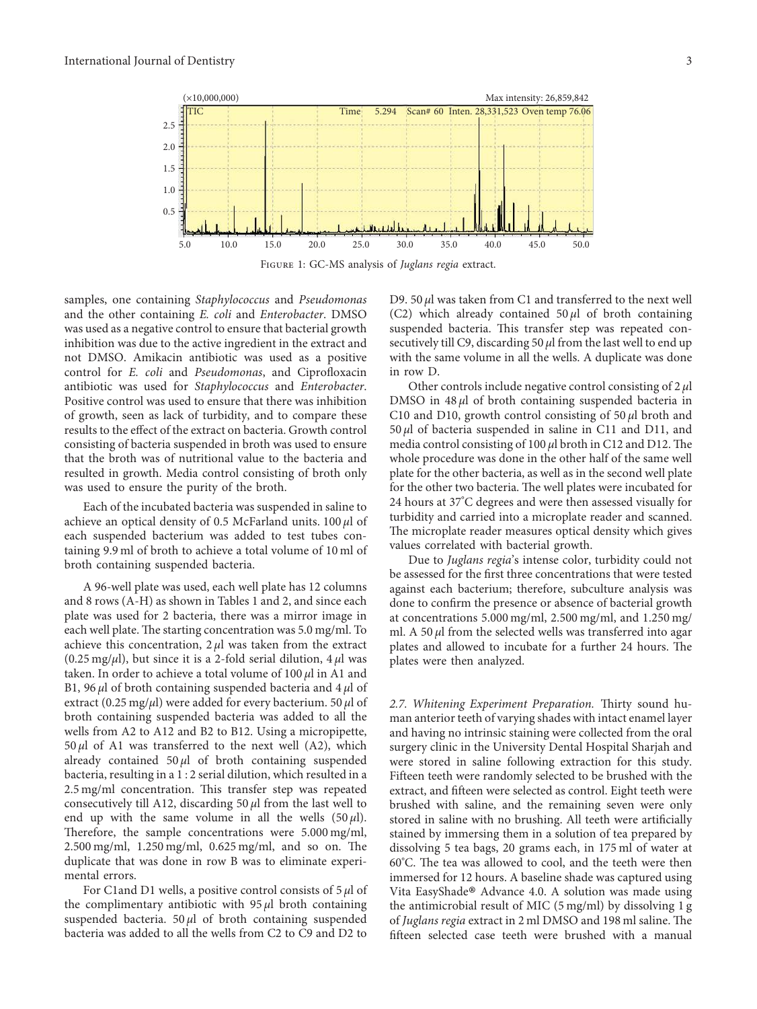<span id="page-2-0"></span>

samples, one containing Staphylococcus and Pseudomonas and the other containing E. coli and Enterobacter. DMSO was used as a negative control to ensure that bacterial growth inhibition was due to the active ingredient in the extract and not DMSO. Amikacin antibiotic was used as a positive control for E. coli and Pseudomonas, and Ciprofloxacin antibiotic was used for Staphylococcus and Enterobacter. Positive control was used to ensure that there was inhibition of growth, seen as lack of turbidity, and to compare these results to the effect of the extract on bacteria. Growth control consisting of bacteria suspended in broth was used to ensure that the broth was of nutritional value to the bacteria and resulted in growth. Media control consisting of broth only was used to ensure the purity of the broth.

Each of the incubated bacteria was suspended in saline to achieve an optical density of 0.5 McFarland units.  $100 \mu l$  of each suspended bacterium was added to test tubes containing 9.9 ml of broth to achieve a total volume of 10 ml of broth containing suspended bacteria.

A 96-well plate was used, each well plate has 12 columns and 8 rows (A-H) as shown in Tables [1](#page-3-0) and [2,](#page-5-0) and since each plate was used for 2 bacteria, there was a mirror image in each well plate. The starting concentration was 5.0 mg/ml. To achieve this concentration,  $2 \mu l$  was taken from the extract (0.25 mg/ $\mu$ l), but since it is a 2-fold serial dilution, 4  $\mu$ l was taken. In order to achieve a total volume of  $100 \mu l$  in A1 and B1, 96  $\mu$ l of broth containing suspended bacteria and 4  $\mu$ l of extract (0.25 mg/ $\mu$ l) were added for every bacterium. 50  $\mu$ l of broth containing suspended bacteria was added to all the wells from A2 to A12 and B2 to B12. Using a micropipette,  $50 \mu l$  of A1 was transferred to the next well (A2), which already contained  $50 \mu l$  of broth containing suspended bacteria, resulting in a 1 : 2 serial dilution, which resulted in a 2.5 mg/ml concentration. This transfer step was repeated consecutively till A12, discarding 50  $\mu$ l from the last well to end up with the same volume in all the wells  $(50 \,\mu\text{L})$ . Therefore, the sample concentrations were  $5.000$  mg/ml,  $2.500 \text{ mg/ml}$ ,  $1.250 \text{ mg/ml}$ ,  $0.625 \text{ mg/ml}$ , and so on. The duplicate that was done in row B was to eliminate experimental errors.

For C1and D1 wells, a positive control consists of  $5 \mu$ l of the complimentary antibiotic with  $95 \mu l$  broth containing suspended bacteria. 50  $\mu$ l of broth containing suspended bacteria was added to all the wells from C2 to C9 and D2 to

D9. 50 μl was taken from C1 and transferred to the next well (C2) which already contained  $50 \mu l$  of broth containing suspended bacteria. This transfer step was repeated consecutively till C9, discarding 50  $\mu$ l from the last well to end up with the same volume in all the wells. A duplicate was done in row D.

Other controls include negative control consisting of  $2 \mu$ DMSO in  $48 \mu l$  of broth containing suspended bacteria in C10 and D10, growth control consisting of  $50 \mu$ l broth and  $50 \mu l$  of bacteria suspended in saline in C11 and D11, and media control consisting of 100  $\mu$ l broth in C12 and D12. The whole procedure was done in the other half of the same well plate for the other bacteria, as well as in the second well plate for the other two bacteria. The well plates were incubated for 24 hours at 37°C degrees and were then assessed visually for turbidity and carried into a microplate reader and scanned. The microplate reader measures optical density which gives values correlated with bacterial growth.

Due to Juglans regia's intense color, turbidity could not be assessed for the first three concentrations that were tested against each bacterium; therefore, subculture analysis was done to confirm the presence or absence of bacterial growth at concentrations 5.000 mg/ml, 2.500 mg/ml, and 1.250 mg/ ml. A 50  $\mu$  from the selected wells was transferred into agar plates and allowed to incubate for a further 24 hours. The plates were then analyzed.

2.7. Whitening Experiment Preparation. Thirty sound human anterior teeth of varying shades with intact enamel layer and having no intrinsic staining were collected from the oral surgery clinic in the University Dental Hospital Sharjah and were stored in saline following extraction for this study. Fifteen teeth were randomly selected to be brushed with the extract, and fifteen were selected as control. Eight teeth were brushed with saline, and the remaining seven were only stored in saline with no brushing. All teeth were artificially stained by immersing them in a solution of tea prepared by dissolving 5 tea bags, 20 grams each, in 175 ml of water at  $60^{\circ}$ C. The tea was allowed to cool, and the teeth were then immersed for 12 hours. A baseline shade was captured using Vita EasyShade® Advance 4.0. A solution was made using<br>the antimicrobial result of MIC (5 mg/ml) by dissolving 1 g the antimicrobial result of MIC (5 mg/ml) by dissolving 1 g of Juglans regia extract in 2 ml DMSO and 198 ml saline. The fifteen selected case teeth were brushed with a manual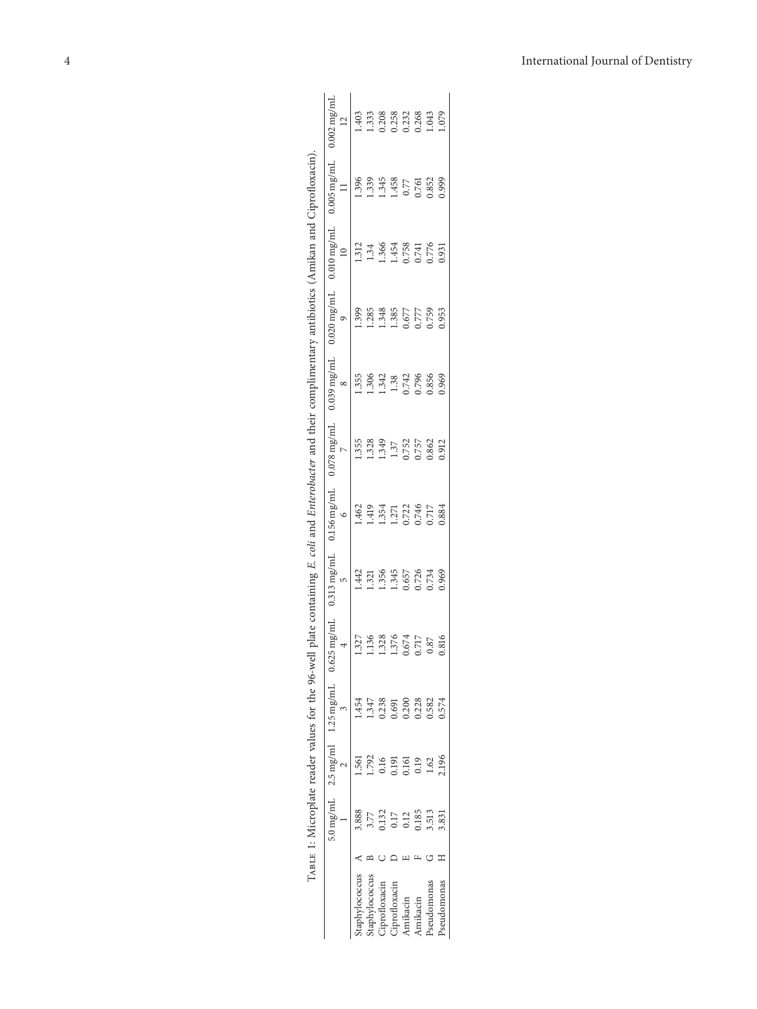<span id="page-3-0"></span>

|                    | $5.0 \text{ mg/mL}$ | $2.5 \,\mathrm{mg/ml}$ | $1.25$ mg/mL | mg/mL<br>4<br>0.625 | $.313$ mg/m $I$<br>LN | $156 \,\mathrm{mg/ml}$<br>c | $078 \,\mathrm{mg/ml}$<br>N | $039 \,\mathrm{mg/ml}$<br>$\infty$ | $020 \,\mathrm{mg/ml}$ | $010 \,\mathrm{mg/ml}$ | $005 \,\mathrm{mg/ml}$ | $002$ mg/ml<br>$\approx$ |
|--------------------|---------------------|------------------------|--------------|---------------------|-----------------------|-----------------------------|-----------------------------|------------------------------------|------------------------|------------------------|------------------------|--------------------------|
| taphylococcus      | 3.888               |                        |              | 1.327               | $\frac{442}{5}$       | 1.462                       | 1.355                       | .355                               | 1.399                  | 1.312                  | 1.396                  | .403                     |
| taphylococcus      | 3.77                |                        |              | .136                | 1.321                 | 1.419                       | 1.328<br>1.349              | 1.306                              | 1.285                  | 1.34                   | 1.339                  | 1.333                    |
| iprofloxacin       | 132                 | 0.16                   | 0.238        | .328                | 1.356                 | 1.354                       |                             | 1.342                              | 1.348                  | 1.366                  | 1.345                  | 0.208                    |
| iprofloxacin       | 0.17                | 191                    |              | .376                | 1.345                 | 1.271                       | 1.37                        | 1.38                               | 1.385                  | 1.454                  | 1.458                  |                          |
| Amikacin           | 0.12                | 0.161                  | 0.20C        | .674                | 0.657                 | 0.722                       | 0.752                       | 0.742                              | 0.677                  | 0.758                  | 0.77                   | 0.258<br>0.232<br>0.268  |
| Amikacin           | 0.185               | 0.19                   | 0.228        | ,717                | 0.726                 | 0.746                       | 1.757                       | 0.796                              | 1.777                  | 0.741                  | 0.761                  |                          |
| <b>Pseudomonas</b> | 3.513               | 1.62                   | 0.582        | 0.87                | 0.734                 | 1717                        | 0.862                       | 0.856                              | 0.759                  | 0.776                  | 0.852                  | 1.043                    |
| Pseudomonas        | $\frac{83}{5}$      | 2.196                  | .574         | ,816                | 0.969                 | 0.884                       | 0.912                       | 0.969                              | 0.953                  | 0.931                  | 0.999                  | 079                      |
|                    |                     |                        |              |                     |                       |                             |                             |                                    |                        |                        |                        |                          |

| į                                                            |
|--------------------------------------------------------------|
|                                                              |
|                                                              |
| ֖֖֖֖֖֖ׅ֪ׅׅ֖֪ׅ֖֧֪ׅ֪֪ׅ֖֚֚֚֚֚֚֚֚֚֚֚֚֚֚֚֚֚֚֚֚֚֚֚֚֚֚֚֡֬֝֬֓֞֝֬֓֬֝֬ |
|                                                              |
|                                                              |
| į                                                            |
| l                                                            |
| I<br>J                                                       |
|                                                              |
|                                                              |
| ֖֖֖֖֖֧ׅ֧ׅ֖֧֚֚֚֚֚֚֚֚֚֚֚֚֚֚֚֚֚֚֚֚֚֚֚֚֚֚֚֬֝֝֬֝֓֬                |
|                                                              |
|                                                              |
| ra ta                                                        |
|                                                              |
|                                                              |
|                                                              |
|                                                              |
|                                                              |
| í                                                            |
| i                                                            |
|                                                              |
|                                                              |
|                                                              |
|                                                              |
|                                                              |
|                                                              |
| The search                                                   |
| $\frac{1}{2}$                                                |
| i                                                            |
| and date                                                     |
|                                                              |
|                                                              |
| ì                                                            |
| Co son se                                                    |
| j                                                            |
|                                                              |
| Í                                                            |
| $\frac{1}{2}$                                                |
| ١                                                            |
|                                                              |
|                                                              |
|                                                              |
|                                                              |
|                                                              |
| ١                                                            |
|                                                              |
|                                                              |
|                                                              |
|                                                              |
|                                                              |
|                                                              |
|                                                              |
|                                                              |
| ļ<br>I                                                       |
|                                                              |
|                                                              |
| Í                                                            |
| ì                                                            |
|                                                              |
|                                                              |
|                                                              |
| I<br>ׇ֚֚֚֕                                                   |
| .<br>با                                                      |
|                                                              |
|                                                              |
| <br>֚֚֚֚֬                                                    |
|                                                              |
|                                                              |
|                                                              |
|                                                              |
|                                                              |
|                                                              |
|                                                              |
|                                                              |
|                                                              |
| ļ                                                            |
| $\overline{a}$                                               |
|                                                              |
|                                                              |
| j,<br>ļ                                                      |
|                                                              |
| i<br>J<br>ł.                                                 |
| ţ                                                            |
| l                                                            |
|                                                              |
| ١<br>١                                                       |
| Ì                                                            |
| ֕                                                            |
|                                                              |
|                                                              |
|                                                              |
|                                                              |
| j                                                            |
| l                                                            |
|                                                              |
|                                                              |
| j                                                            |
|                                                              |
| l<br>I                                                       |
| l                                                            |
|                                                              |
| í                                                            |
|                                                              |
| l                                                            |
|                                                              |
| I<br>J<br>l<br>j                                             |
| l<br>f                                                       |
| į<br>i<br>I                                                  |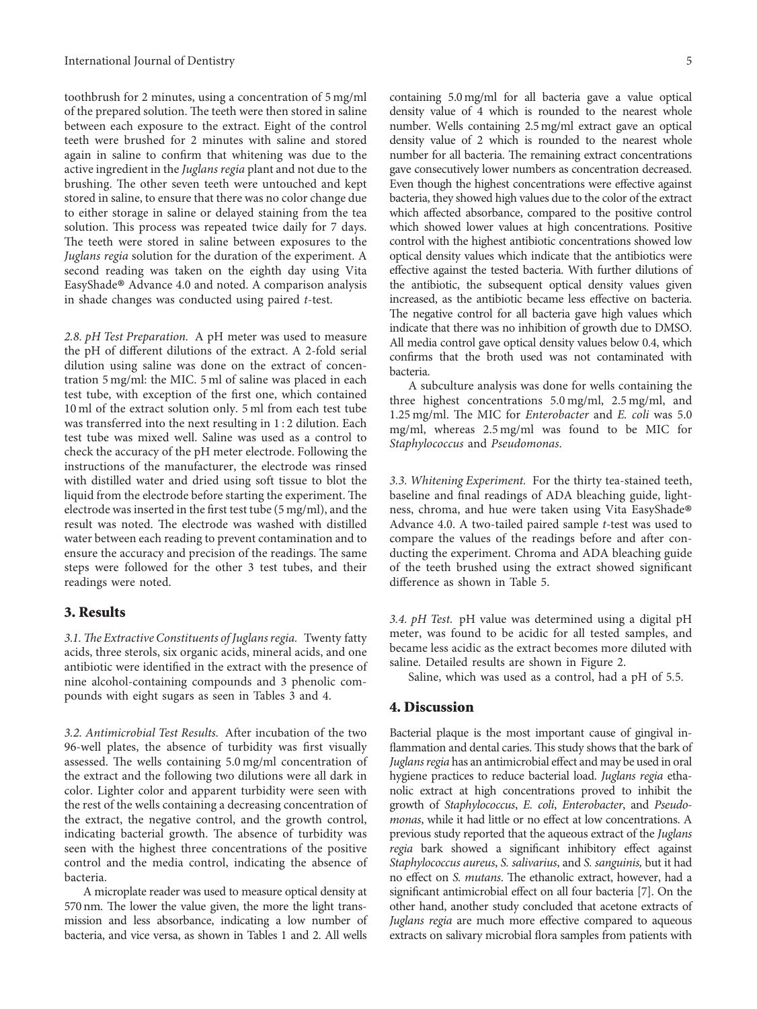toothbrush for 2 minutes, using a concentration of 5 mg/ml of the prepared solution. The teeth were then stored in saline between each exposure to the extract. Eight of the control teeth were brushed for 2 minutes with saline and stored again in saline to confirm that whitening was due to the active ingredient in the Juglans regia plant and not due to the brushing. The other seven teeth were untouched and kept stored in saline, to ensure that there was no color change due to either storage in saline or delayed staining from the tea solution. This process was repeated twice daily for 7 days. The teeth were stored in saline between exposures to the Juglans regia solution for the duration of the experiment. A second reading was taken on the eighth day using Vita EasyShade ® Advance 4.0 and noted. A comparison analysis in shade changes was conducted using paired t-test.

2.8. pH Test Preparation. A pH meter was used to measure the pH of different dilutions of the extract. A 2-fold serial dilution using saline was done on the extract of concentration 5 mg/ml: the MIC. 5 ml of saline was placed in each test tube, with exception of the first one, which contained 10 ml of the extract solution only. 5 ml from each test tube was transferred into the next resulting in 1 : 2 dilution. Each test tube was mixed well. Saline was used as a control to check the accuracy of the pH meter electrode. Following the instructions of the manufacturer, the electrode was rinsed with distilled water and dried using soft tissue to blot the liquid from the electrode before starting the experiment. The electrode was inserted in the first test tube (5 mg/ml), and the result was noted. The electrode was washed with distilled water between each reading to prevent contamination and to ensure the accuracy and precision of the readings. The same steps were followed for the other 3 test tubes, and their readings were noted.

#### 3. Results

3.1. The Extractive Constituents of Juglans regia. Twenty fatty acids, three sterols, six organic acids, mineral acids, and one antibiotic were identified in the extract with the presence of nine alcohol-containing compounds and 3 phenolic compounds with eight sugars as seen in Tables [3](#page-6-0) and [4.](#page-6-0)

3.2. Antimicrobial Test Results. After incubation of the two 96-well plates, the absence of turbidity was first visually assessed. The wells containing  $5.0$  mg/ml concentration of the extract and the following two dilutions were all dark in color. Lighter color and apparent turbidity were seen with the rest of the wells containing a decreasing concentration of the extract, the negative control, and the growth control, indicating bacterial growth. The absence of turbidity was seen with the highest three concentrations of the positive control and the media control, indicating the absence of bacteria.

A microplate reader was used to measure optical density at 570 nm. The lower the value given, the more the light transmission and less absorbance, indicating a low number of bacteria, and vice versa, as shown in Tables [1](#page-3-0) and [2.](#page-5-0) All wells

containing 5.0 mg/ml for all bacteria gave a value optical density value of 4 which is rounded to the nearest whole number. Wells containing 2.5 mg/ml extract gave an optical density value of 2 which is rounded to the nearest whole number for all bacteria. The remaining extract concentrations gave consecutively lower numbers as concentration decreased. Even though the highest concentrations were effective against bacteria, they showed high values due to the color of the extract which affected absorbance, compared to the positive control which showed lower values at high concentrations. Positive control with the highest antibiotic concentrations showed low optical density values which indicate that the antibiotics were effective against the tested bacteria. With further dilutions of the antibiotic, the subsequent optical density values given increased, as the antibiotic became less effective on bacteria. The negative control for all bacteria gave high values which indicate that there was no inhibition of growth due to DMSO. All media control gave optical density values below 0.4, which confirms that the broth used was not contaminated with bacteria.

A subculture analysis was done for wells containing the three highest concentrations 5.0 mg/ml, 2.5 mg/ml, and 1.25 mg/ml. The MIC for Enterobacter and E. coli was  $5.0$ mg/ml, whereas 2.5 mg/ml was found to be MIC for Staphylococcus and Pseudomonas.

3.3. Whitening Experiment. For the thirty tea-stained teeth, baseline and final readings of ADA bleaching guide, lightness, chroma, and hue were taken using Vita EasyShade ® Advance 4.0. A two-tailed paired sample t-test was used to compare the values of the readings before and after conducting the experiment. Chroma and ADA bleaching guide of the teeth brushed using the extract showed significant difference as shown in Table [5.](#page-7-0)

3.4. pH Test. pH value was determined using a digital pH meter, was found to be acidic for all tested samples, and became less acidic as the extract becomes more diluted with saline. Detailed results are shown in Figure 2.

Saline, which was used as a control, had a pH of 5.5.

### 4. Discussion

Bacterial plaque is the most important cause of gingival inflammation and dental caries. This study shows that the bark of Juglans regia has an antimicrobial effect and may be used in oral hygiene practices to reduce bacterial load. Juglans regia ethanolic extract at high concentrations proved to inhibit the growth of Staphylococcus, E. coli, Enterobacter, and Pseudomonas, while it had little or no effect at low concentrations. A previous study reported that the aqueous extract of the Juglans regia bark showed a significant inhibitory effect against Staphylococcus aureus, S. salivarius, and S. sanguinis, but it had no effect on S. mutans. The ethanolic extract, however, had a significant antimicrobial effect on all four bacteria[[7](#page-8-0)]. On the other hand, another study concluded that acetone extracts of Juglans regia are much more effective compared to aqueous extracts on salivary microbial flora samples from patients with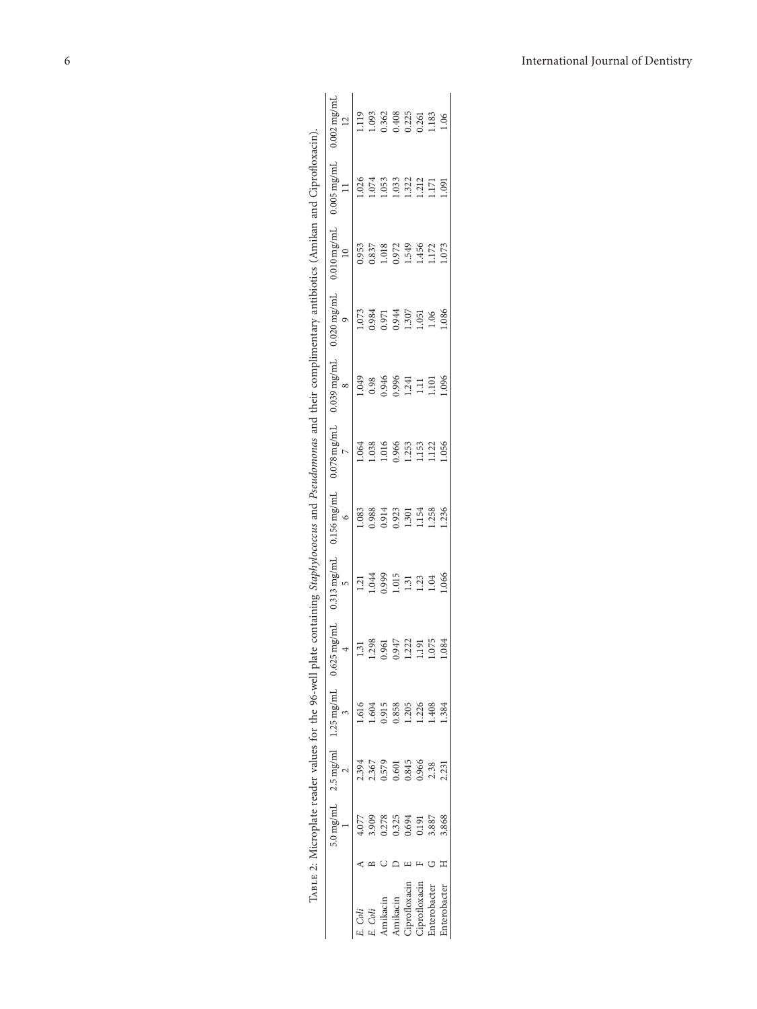<span id="page-5-0"></span>

|              |       |       |                                    |                   | te containing Staphylococ                              |                                |             |                  |                     |                                    |                     |                                        |
|--------------|-------|-------|------------------------------------|-------------------|--------------------------------------------------------|--------------------------------|-------------|------------------|---------------------|------------------------------------|---------------------|----------------------------------------|
|              |       |       | 5.0 mg/mL $2.5$ mg/ml $1.25$ mg/mL | mg/ml<br>0.625    | $0.313$ mg/m <sup><math>\overline{a}</math></sup><br>S | $56 \, \text{mg/m}$<br>$\circ$ | $078$ mg/mJ | $039$ mg/ml<br>∞ | $020 \text{ mg/ml}$ | $.010$ mg/m $^{\circ}$<br>$\equiv$ | $05 \, \text{mg/m}$ | 002 mg/m <sup>1</sup><br>$\frac{2}{2}$ |
| Coli         |       | 2.394 | 919                                |                   | $\overline{13}$                                        | 1.083                          | 1.064       | 1.049            | 1.073               | 0.953                              | .026                | .119                                   |
| Coli         | 8,909 | 2.367 | 1.604                              | $\frac{131}{298}$ | 1.044                                                  | 0.988<br>0.914                 | 1.038       | 0.98             | 0.984<br>0.971      | 0.837                              | 1.074               |                                        |
| mikacin      | 0.278 | 0.579 | 0.915                              | .961              | 0.999                                                  |                                | 1.016       | 0.946            |                     | 1.018                              | 1.053               | 1.093<br>0.362                         |
| Amikacin     | 0.325 | 0.601 | 0.858                              | ,947              | 1.015                                                  | 0.923                          | 0.966       | 0.996            | 0.944               | 0.972                              | 1.033               | 0.408                                  |
| iprofloxacin | 1.694 | 0.845 | .205                               | $.222$<br>$.191$  | 1.31                                                   | 1.301                          | 1.253       | 1.241            | 1.307               | 1.549                              | 1.322               | 0.225                                  |
| iprofloxacin | 191   | 0.966 | 1.226                              |                   | <u>.3</u>                                              | 1.154                          | 1153        | $\Xi$            | .051                | 1.456                              | 1.212               |                                        |
| interobacter | 3.887 | 2.38  | .408                               | .075              | <b>LO4</b>                                             | 1.258                          | 1.122       | 1.101            | 0.06                | 1.172                              | 1.171               | .183                                   |
| .nterobacter | .868  | 2.231 |                                    | .084              | .066                                                   | 1.236                          | 1.056       | .096             | .086                | 1.073                              | .091                |                                        |
|              |       |       |                                    |                   |                                                        |                                |             |                  |                     |                                    |                     |                                        |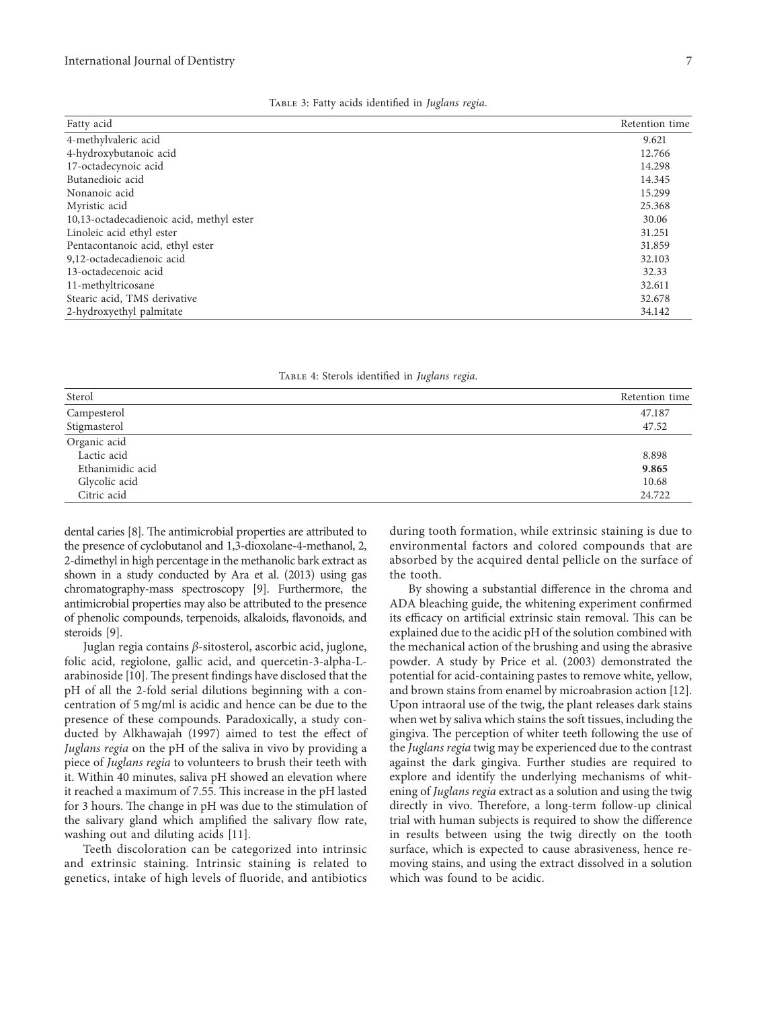<span id="page-6-0"></span>

| Fatty acid                               | Retention time |
|------------------------------------------|----------------|
| 4-methylvaleric acid                     | 9.621          |
| 4-hydroxybutanoic acid                   | 12.766         |
| 17-octadecynoic acid                     | 14.298         |
| Butanedioic acid                         | 14.345         |
| Nonanoic acid                            | 15.299         |
| Myristic acid                            | 25.368         |
| 10,13-octadecadienoic acid, methyl ester | 30.06          |
| Linoleic acid ethyl ester                | 31.251         |
| Pentacontanoic acid, ethyl ester         | 31.859         |
| 9,12-octadecadienoic acid                | 32.103         |
| 13-octadecenoic acid                     | 32.33          |
| 11-methyltricosane                       | 32.611         |
| Stearic acid, TMS derivative             | 32.678         |
| 2-hydroxyethyl palmitate                 | 34.142         |

|  |  |  | TABLE 3: Fatty acids identified in Juglans regia. |  |  |  |
|--|--|--|---------------------------------------------------|--|--|--|
|--|--|--|---------------------------------------------------|--|--|--|

| TABLE 4: Sterols identified in Juglans regia. |  |  |  |
|-----------------------------------------------|--|--|--|
|-----------------------------------------------|--|--|--|

| Sterol           | Retention time |
|------------------|----------------|
| Campesterol      | 47.187         |
| Stigmasterol     | 47.52          |
| Organic acid     |                |
| Lactic acid      | 8.898          |
| Ethanimidic acid | 9.865          |
| Glycolic acid    | 10.68          |
| Citric acid      | 24.722         |

dental caries [\[8](#page-8-0)]. The antimicrobial properties are attributed to the presence of cyclobutanol and 1,3-dioxolane-4-methanol, 2, 2-dimethyl in high percentage in the methanolic bark extract as shown in a study conducted by Ara et al. (2013) using gas chromatography-mass spectroscopy[[9](#page-8-0)]. Furthermore, the antimicrobial properties may also be attributed to the presence of phenolic compounds, terpenoids, alkaloids, flavonoids, and steroids [\[9\]](#page-8-0).

Juglan regia contains β-sitosterol, ascorbic acid, juglone, folic acid, regiolone, gallic acid, and quercetin-3-alpha-L-arabinoside[[10\]](#page-8-0). The present findings have disclosed that the pH of all the 2-fold serial dilutions beginning with a concentration of 5 mg/ml is acidic and hence can be due to the presence of these compounds. Paradoxically, a study conducted by Alkhawajah (1997) aimed to test the effect of Juglans regia on the pH of the saliva in vivo by providing a piece of Juglans regia to volunteers to brush their teeth with it. Within 40 minutes, saliva pH showed an elevation where it reached a maximum of 7.55. This increase in the pH lasted for 3 hours. The change in pH was due to the stimulation of the salivary gland which amplified the salivary flow rate, washing out and diluting acids [\[11](#page-8-0)].

Teeth discoloration can be categorized into intrinsic and extrinsic staining. Intrinsic staining is related to genetics, intake of high levels of fluoride, and antibiotics

during tooth formation, while extrinsic staining is due to environmental factors and colored compounds that are absorbed by the acquired dental pellicle on the surface of the tooth.

By showing a substantial difference in the chroma and ADA bleaching guide, the whitening experiment confirmed its efficacy on artificial extrinsic stain removal. This can be explained due to the acidic pH of the solution combined with the mechanical action of the brushing and using the abrasive powder. A study by Price et al. (2003) demonstrated the potential for acid-containing pastes to remove white, yellow, and brown stains from enamel by microabrasion action [\[12](#page-8-0)]. Upon intraoral use of the twig, the plant releases dark stains when wet by saliva which stains the soft tissues, including the gingiva. The perception of whiter teeth following the use of the Juglans regia twig may be experienced due to the contrast against the dark gingiva. Further studies are required to explore and identify the underlying mechanisms of whitening of Juglans regia extract as a solution and using the twig directly in vivo. Therefore, a long-term follow-up clinical trial with human subjects is required to show the difference in results between using the twig directly on the tooth surface, which is expected to cause abrasiveness, hence removing stains, and using the extract dissolved in a solution which was found to be acidic.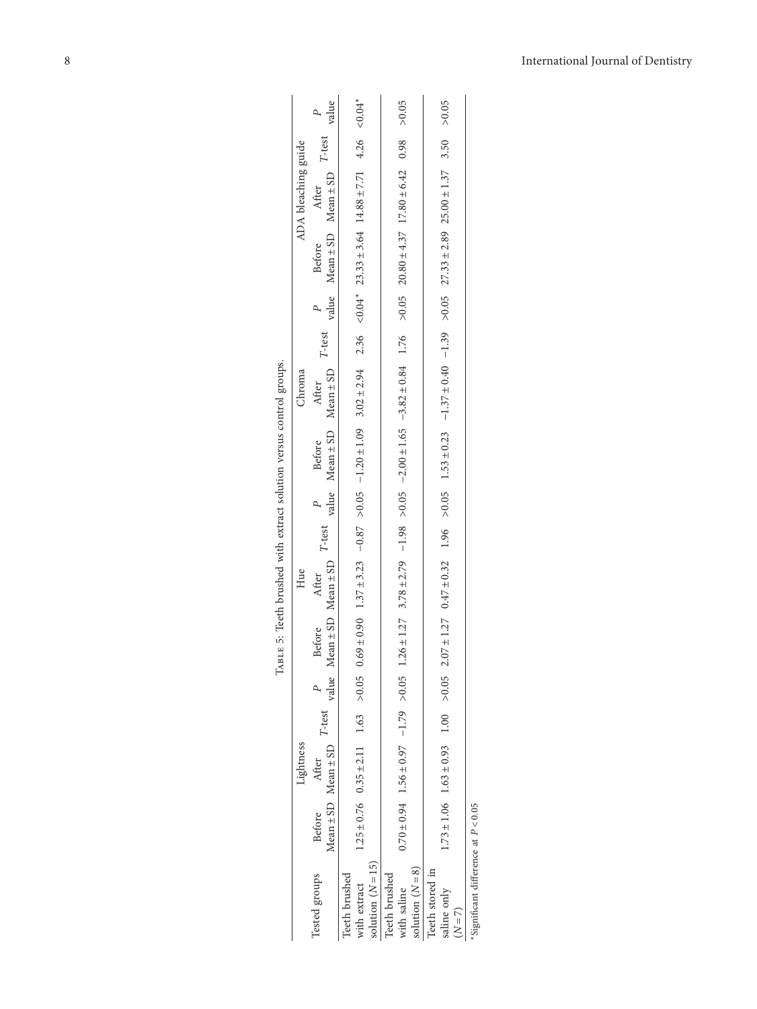<span id="page-7-0"></span>

|                                                      |               | Lightness                    |  |        | Hue                                                  |  |                                                                 | Chroma                                                                                                                                                                                                                                                             |  | ADA bleaching guide                                             |                                                                   |          |
|------------------------------------------------------|---------------|------------------------------|--|--------|------------------------------------------------------|--|-----------------------------------------------------------------|--------------------------------------------------------------------------------------------------------------------------------------------------------------------------------------------------------------------------------------------------------------------|--|-----------------------------------------------------------------|-------------------------------------------------------------------|----------|
| Tested groups                                        | <b>Before</b> | Mean ± SD Mean ± SD<br>After |  | Before | $T$ -test value Mean $\pm$ SD Mean $\pm$ SD<br>After |  | $T$ -test $P$ Before After<br>value Mean $\pm$ SD Mean $\pm$ SD |                                                                                                                                                                                                                                                                    |  | $T$ -test $P$ Before After<br>value Mean $\pm$ SD Mean $\pm$ SD | $T\text{-test}$ $\begin{array}{cc} P \\ \text{value} \end{array}$ |          |
| solution $(N = 15)$<br>Teeth brushed<br>with extract |               |                              |  |        |                                                      |  |                                                                 | $1.25 \pm 0.76$ $0.35 \pm 2.11$ $1.63$ $0.105$ $0.05$ $0.09 \pm 0.005$ $0.02 \pm 2.3.23$<br>$-0.02 \pm 2.02$<br>$-0.02 \pm 2.02$<br>$-0.02 \pm 2.02$<br>$-0.02 \pm 2.02$<br>$-0.02 \pm 2.02$                                                                       |  |                                                                 |                                                                   | $&0.04*$ |
| solution $(N=8)$<br>Teeth brushed<br>with saline     |               |                              |  |        |                                                      |  |                                                                 | $0.70 + 0.94 + 0.97 + 1.56 + 0.97 + 1.26 + 1.26 + 1.26 + 1.27 + 0.98 + 1.65 + 1.65 + 1.65 + 1.82 + 0.84 + 1.76 + 0.03 + 1.78 + 1.78 + 1.78 + 1.27 + 0.98 + 1.79 + 1.79 + 1.79 + 1.79 + 1.79 + 1.79 + 1.79 + 1.79 + 1.79 + 1.79 + 1.79 + 1.79 + 1.79 + 1.79 + 1.79$ |  |                                                                 |                                                                   | > 0.05   |
| Teeth stored in<br>saline only<br>$(N = 7)$          |               |                              |  |        |                                                      |  |                                                                 | $1.73 \pm 1.06$ $1.63 \pm 0.93$ $1.00$ $> 0.05$ $2.07 \pm 1.27$ $0.47 \pm 0.32$ $1.96$ $> 0.05$ $1.33 \pm 0.49$ $-1.37 \pm 0.40$ $-1.37 \pm 0.40$ $> 0.05$ $27.33 \pm 2.89$ $25.00 \pm 1.37$ 3.50 $> 0.05$                                                         |  |                                                                 |                                                                   |          |
| Simificant difference at $D \geq 0.05$               |               |                              |  |        |                                                      |  |                                                                 |                                                                                                                                                                                                                                                                    |  |                                                                 |                                                                   |          |

| ı<br>١                                  |
|-----------------------------------------|
| i                                       |
| i<br>ı<br>ı                             |
| 氵<br>-----------<br>ı                   |
| l<br>١<br>ľ<br>j<br>$\vdots$<br>ı<br>Î  |
| ŀ<br>ł<br>ļ<br>$\overline{\phantom{a}}$ |
| $\ddot{\phantom{a}}$<br>í<br>j          |
| ľ<br>ľ                                  |
| í                                       |
| ï                                       |
| j<br>ť<br>ı<br>I                        |

Significant difference at  $P < 0.05$ ∗Significant difference at *P* < 0*.*05